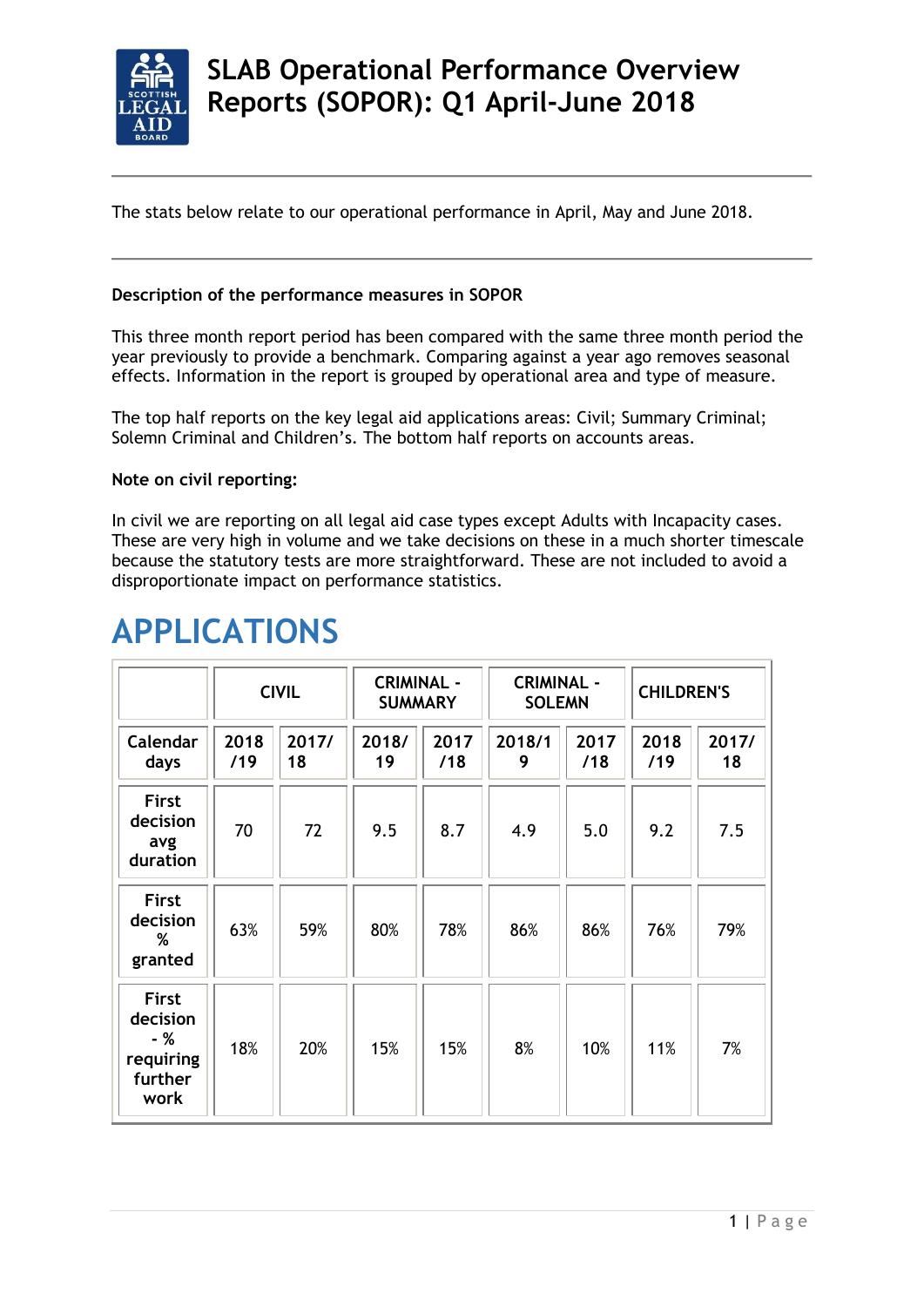

The stats below relate to our operational performance in April, May and June 2018.

## **Description of the performance measures in SOPOR**

This three month report period has been compared with the same three month period the year previously to provide a benchmark. Comparing against a year ago removes seasonal effects. Information in the report is grouped by operational area and type of measure.

The top half reports on the key legal aid applications areas: Civil; Summary Criminal; Solemn Criminal and Children's. The bottom half reports on accounts areas.

## **Note on civil reporting:**

In civil we are reporting on all legal aid case types except Adults with Incapacity cases. These are very high in volume and we take decisions on these in a much shorter timescale because the statutory tests are more straightforward. These are not included to avoid a disproportionate impact on performance statistics.

|                                                                 | <b>CIVIL</b> |             | <b>CRIMINAL -</b><br><b>SUMMARY</b> |             | <b>CRIMINAL -</b><br><b>SOLEMN</b> |             | <b>CHILDREN'S</b> |             |
|-----------------------------------------------------------------|--------------|-------------|-------------------------------------|-------------|------------------------------------|-------------|-------------------|-------------|
| Calendar<br>days                                                | 2018<br>/19  | 2017/<br>18 | 2018/<br>19                         | 2017<br>/18 | 2018/1<br>9                        | 2017<br>/18 | 2018<br>/19       | 2017/<br>18 |
| <b>First</b><br>decision<br>avg<br>duration                     | 70           | 72          | 9.5                                 | 8.7         | 4.9                                | 5.0         | 9.2               | 7.5         |
| <b>First</b><br>decision<br>%<br>granted                        | 63%          | 59%         | 80%                                 | 78%         | 86%                                | 86%         | 76%               | 79%         |
| <b>First</b><br>decision<br>- %<br>requiring<br>further<br>work | 18%          | 20%         | 15%                                 | 15%         | 8%                                 | 10%         | 11%               | 7%          |

# **APPLICATIONS**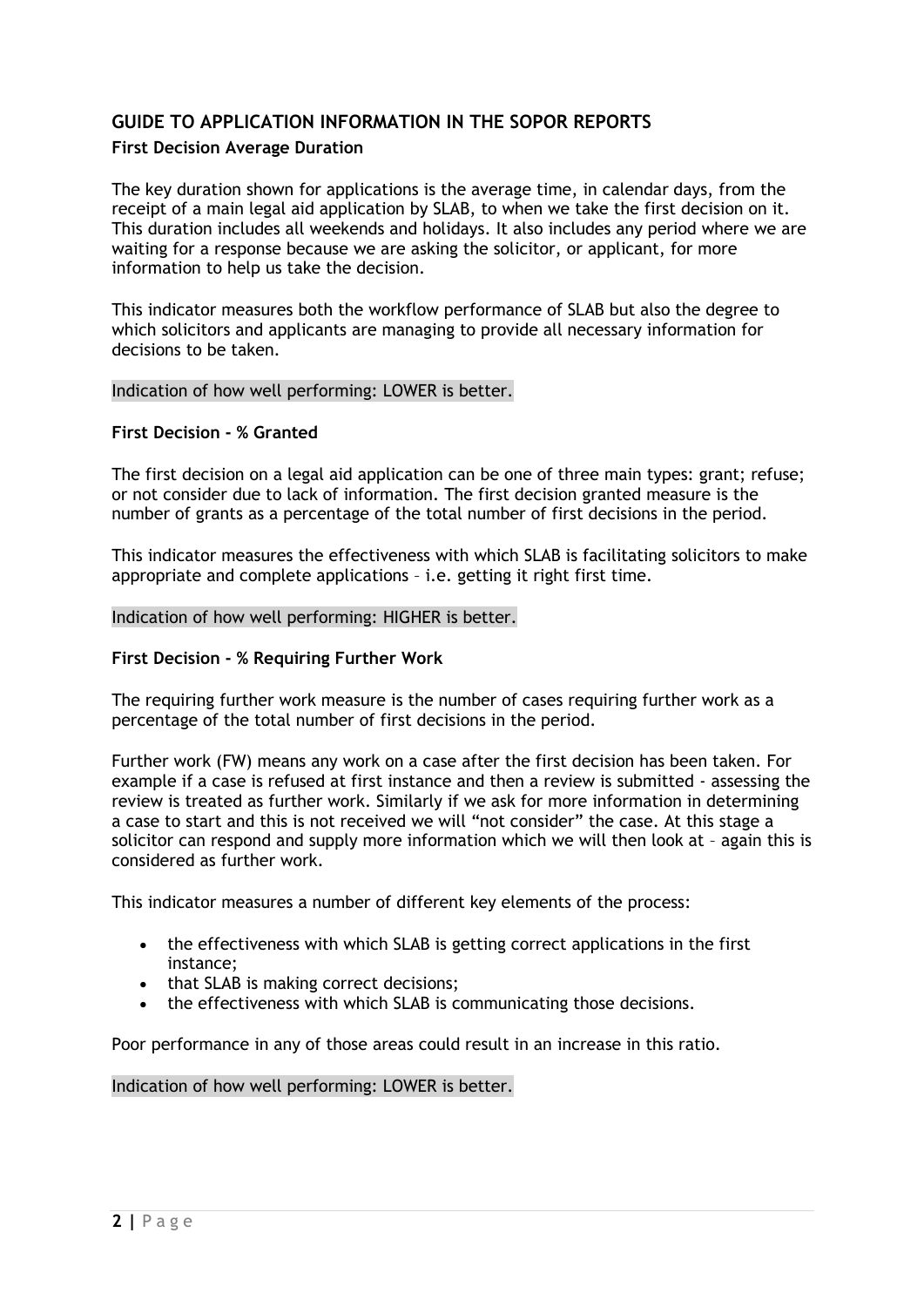## **GUIDE TO APPLICATION INFORMATION IN THE SOPOR REPORTS**

## **First Decision Average Duration**

The key duration shown for applications is the average time, in calendar days, from the receipt of a main legal aid application by SLAB, to when we take the first decision on it. This duration includes all weekends and holidays. It also includes any period where we are waiting for a response because we are asking the solicitor, or applicant, for more information to help us take the decision.

This indicator measures both the workflow performance of SLAB but also the degree to which solicitors and applicants are managing to provide all necessary information for decisions to be taken.

#### Indication of how well performing: LOWER is better.

#### **First Decision - % Granted**

The first decision on a legal aid application can be one of three main types: grant; refuse; or not consider due to lack of information. The first decision granted measure is the number of grants as a percentage of the total number of first decisions in the period.

This indicator measures the effectiveness with which SLAB is facilitating solicitors to make appropriate and complete applications – i.e. getting it right first time.

#### Indication of how well performing: HIGHER is better.

### **First Decision - % Requiring Further Work**

The requiring further work measure is the number of cases requiring further work as a percentage of the total number of first decisions in the period.

Further work (FW) means any work on a case after the first decision has been taken. For example if a case is refused at first instance and then a review is submitted - assessing the review is treated as further work. Similarly if we ask for more information in determining a case to start and this is not received we will "not consider" the case. At this stage a solicitor can respond and supply more information which we will then look at – again this is considered as further work.

This indicator measures a number of different key elements of the process:

- the effectiveness with which SLAB is getting correct applications in the first instance;
- that SLAB is making correct decisions;
- the effectiveness with which SLAB is communicating those decisions.

Poor performance in any of those areas could result in an increase in this ratio.

#### Indication of how well performing: LOWER is better.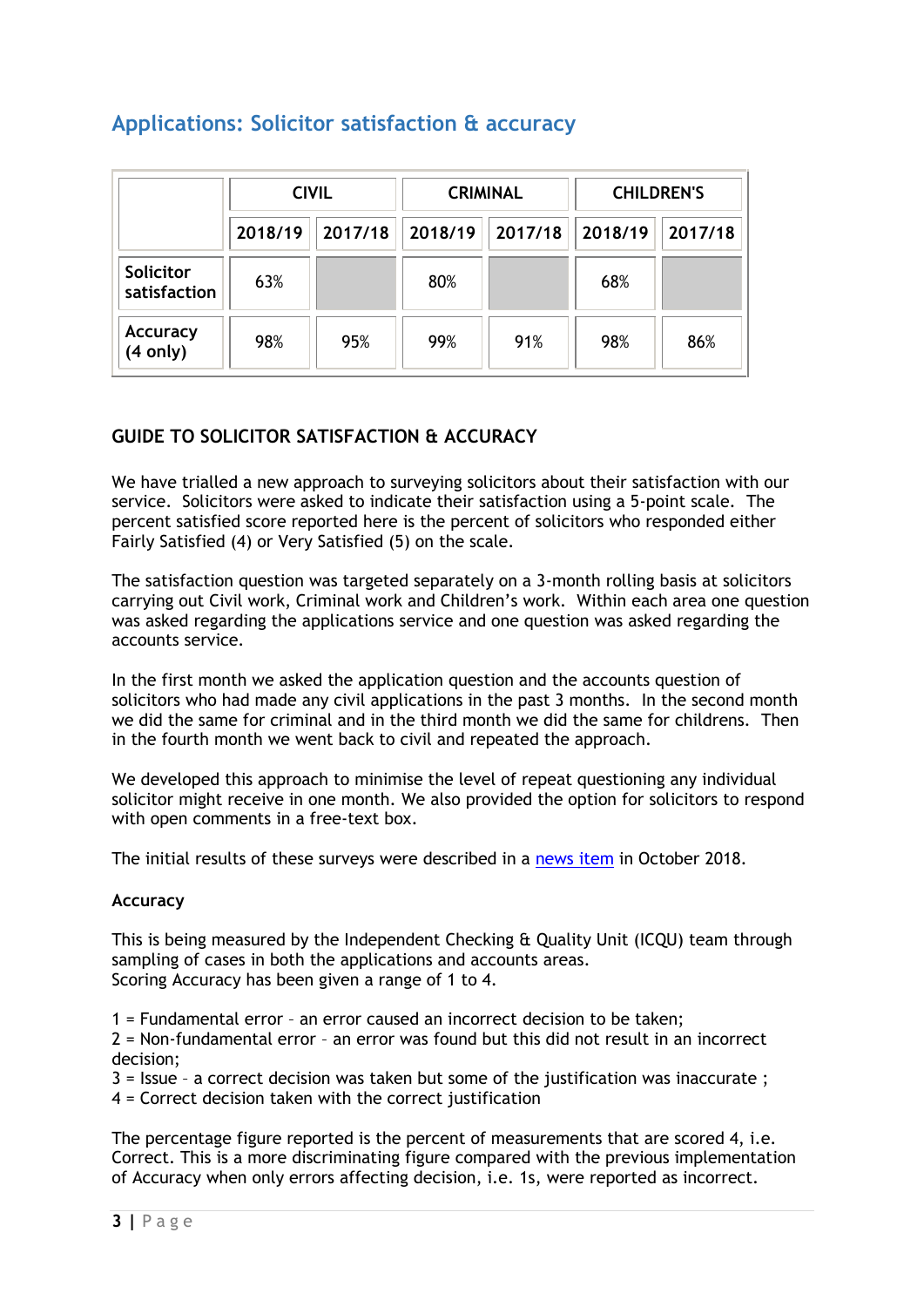# **Applications: Solicitor satisfaction & accuracy**

|                           | <b>CIVIL</b> |         |         | <b>CRIMINAL</b> | <b>CHILDREN'S</b> |         |
|---------------------------|--------------|---------|---------|-----------------|-------------------|---------|
|                           | 2018/19      | 2017/18 | 2018/19 | 2017/18         | 2018/19           | 2017/18 |
| Solicitor<br>satisfaction | 63%          |         | 80%     |                 | 68%               |         |
| Accuracy<br>(4 only)      | 98%          | 95%     | 99%     | 91%             | 98%               | 86%     |

## **GUIDE TO SOLICITOR SATISFACTION & ACCURACY**

We have trialled a new approach to surveying solicitors about their satisfaction with our service. Solicitors were asked to indicate their satisfaction using a 5-point scale. The percent satisfied score reported here is the percent of solicitors who responded either Fairly Satisfied (4) or Very Satisfied (5) on the scale.

The satisfaction question was targeted separately on a 3-month rolling basis at solicitors carrying out Civil work, Criminal work and Children's work. Within each area one question was asked regarding the applications service and one question was asked regarding the accounts service.

In the first month we asked the application question and the accounts question of solicitors who had made any civil applications in the past 3 months. In the second month we did the same for criminal and in the third month we did the same for childrens. Then in the fourth month we went back to civil and repeated the approach.

We developed this approach to minimise the level of repeat questioning any individual solicitor might receive in one month. We also provided the option for solicitors to respond with open comments in a free-text box.

The initial results of these surveys were described in a [news item](https://www.slab.org.uk/providers/mailshots/newsfeed/Survey.html) in October 2018.

## **Accuracy**

This is being measured by the Independent Checking & Quality Unit (ICQU) team through sampling of cases in both the applications and accounts areas. Scoring Accuracy has been given a range of 1 to 4.

1 = Fundamental error – an error caused an incorrect decision to be taken;

2 = Non-fundamental error – an error was found but this did not result in an incorrect decision;

3 = Issue – a correct decision was taken but some of the justification was inaccurate ;

4 = Correct decision taken with the correct justification

The percentage figure reported is the percent of measurements that are scored 4, i.e. Correct. This is a more discriminating figure compared with the previous implementation of Accuracy when only errors affecting decision, i.e. 1s, were reported as incorrect.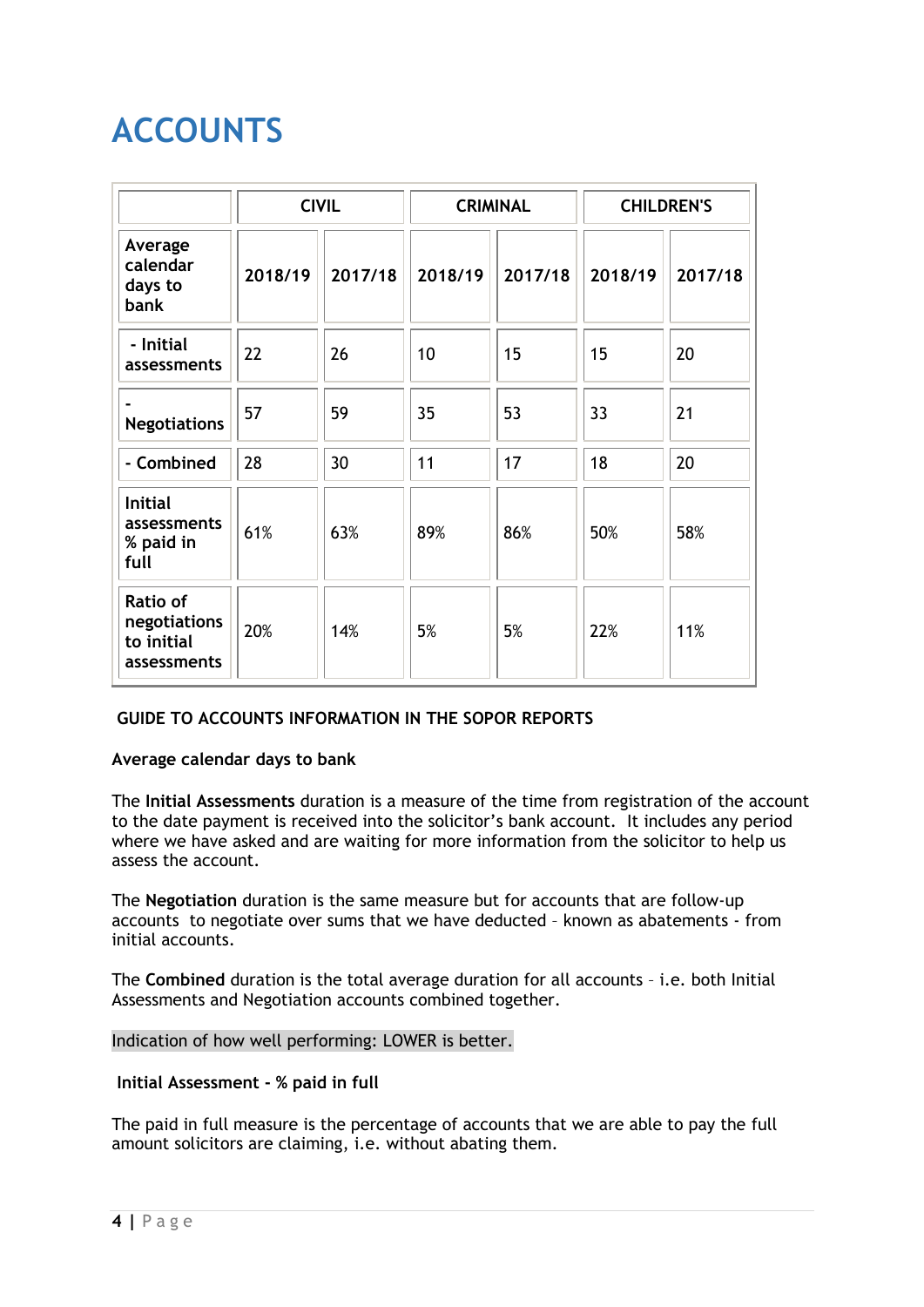# **ACCOUNTS**

|                                                       | <b>CIVIL</b> |         |         | <b>CRIMINAL</b> | <b>CHILDREN'S</b> |         |
|-------------------------------------------------------|--------------|---------|---------|-----------------|-------------------|---------|
| Average<br>calendar<br>days to<br><b>bank</b>         | 2018/19      | 2017/18 | 2018/19 | 2017/18         | 2018/19           | 2017/18 |
| - Initial<br>assessments                              | 22           | 26      | 10      | 15              | 15                | 20      |
| <b>Negotiations</b>                                   | 57           | 59      | 35      | 53              | 33                | 21      |
| - Combined                                            | 28           | 30      | 11      | 17              | 18                | 20      |
| <b>Initial</b><br>assessments<br>% paid in<br>full    | 61%          | 63%     | 89%     | 86%             | 50%               | 58%     |
| Ratio of<br>negotiations<br>to initial<br>assessments | 20%          | 14%     | 5%      | 5%              | 22%               | 11%     |

## **[GUIDE TO ACCOUNTS INFORMATION IN](https://www.slab.org.uk/about-us/what-we-do/Performance/quarterone2018.html) THE SOPOR REPORTS**

## **Average calendar days to bank**

The **Initial Assessments** duration is a measure of the time from registration of the account to the date payment is received into the solicitor's bank account. It includes any period where we have asked and are waiting for more information from the solicitor to help us assess the account.

The **Negotiation** duration is the same measure but for accounts that are follow-up accounts to negotiate over sums that we have deducted – known as abatements - from initial accounts.

The **Combined** duration is the total average duration for all accounts – i.e. both Initial Assessments and Negotiation accounts combined together.

## Indication of how well performing: LOWER is better.

**Initial Assessment - % paid in full**

The paid in full measure is the percentage of accounts that we are able to pay the full amount solicitors are claiming, i.e. without abating them.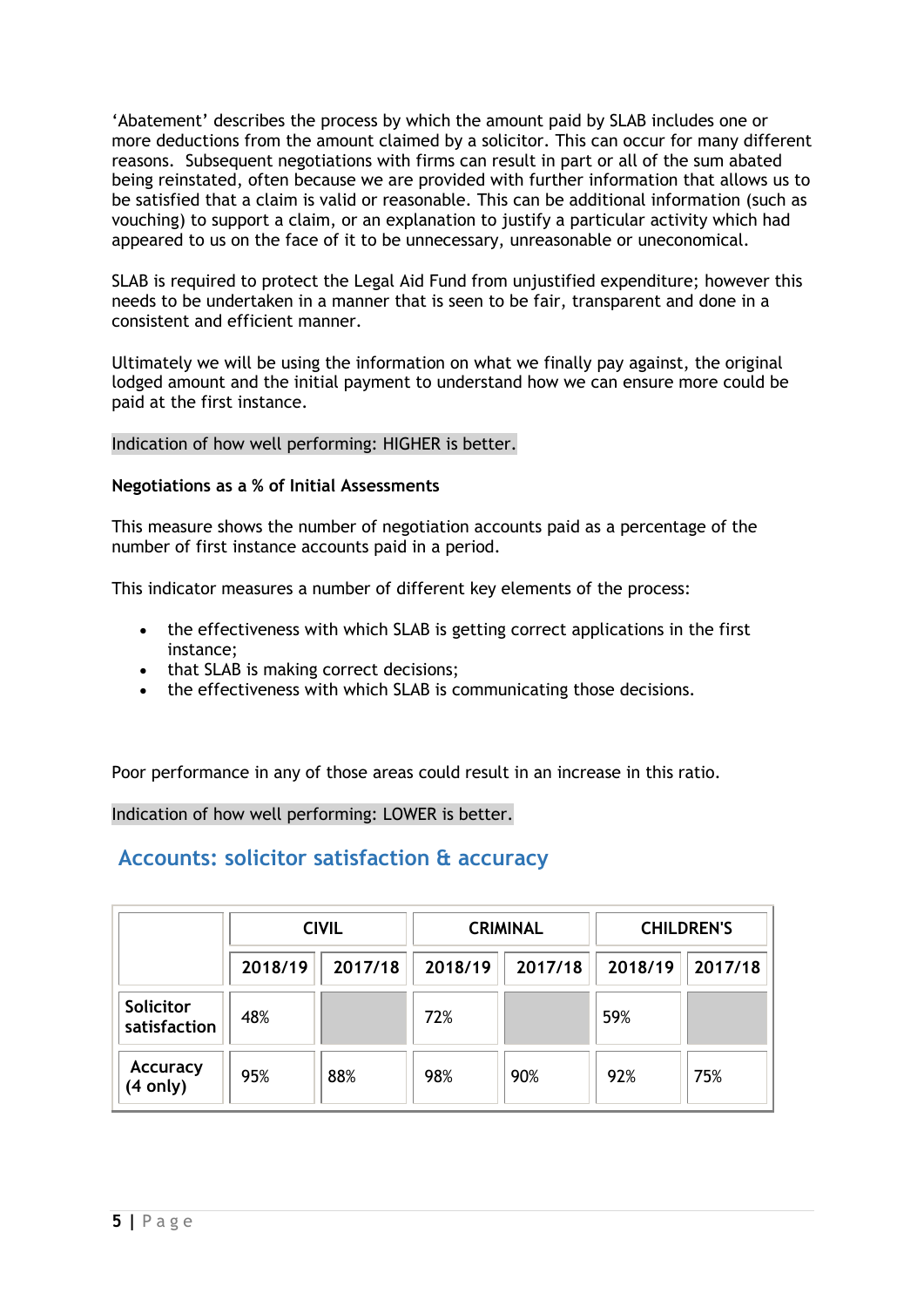'Abatement' describes the process by which the amount paid by SLAB includes one or more deductions from the amount claimed by a solicitor. This can occur for many different reasons. Subsequent negotiations with firms can result in part or all of the sum abated being reinstated, often because we are provided with further information that allows us to be satisfied that a claim is valid or reasonable. This can be additional information (such as vouching) to support a claim, or an explanation to justify a particular activity which had appeared to us on the face of it to be unnecessary, unreasonable or uneconomical.

SLAB is required to protect the Legal Aid Fund from unjustified expenditure; however this needs to be undertaken in a manner that is seen to be fair, transparent and done in a consistent and efficient manner.

Ultimately we will be using the information on what we finally pay against, the original lodged amount and the initial payment to understand how we can ensure more could be paid at the first instance.

## Indication of how well performing: HIGHER is better.

## **Negotiations as a % of Initial Assessments**

This measure shows the number of negotiation accounts paid as a percentage of the number of first instance accounts paid in a period.

This indicator measures a number of different key elements of the process:

- the effectiveness with which SLAB is getting correct applications in the first instance;
- that SLAB is making correct decisions;
- the effectiveness with which SLAB is communicating those decisions.

Poor performance in any of those areas could result in an increase in this ratio.

Indication of how well performing: LOWER is better.

## **Accounts: solicitor satisfaction & accuracy**

|                             | <b>CIVIL</b> |         |         | <b>CRIMINAL</b> | <b>CHILDREN'S</b> |         |
|-----------------------------|--------------|---------|---------|-----------------|-------------------|---------|
|                             | 2018/19      | 2017/18 | 2018/19 | 2017/18         | 2018/19           | 2017/18 |
| Solicitor<br>satisfaction   | 48%          |         | 72%     |                 | 59%               |         |
| <b>Accuracy</b><br>(4 only) | 95%          | 88%     | 98%     | 90%             | 92%               | 75%     |